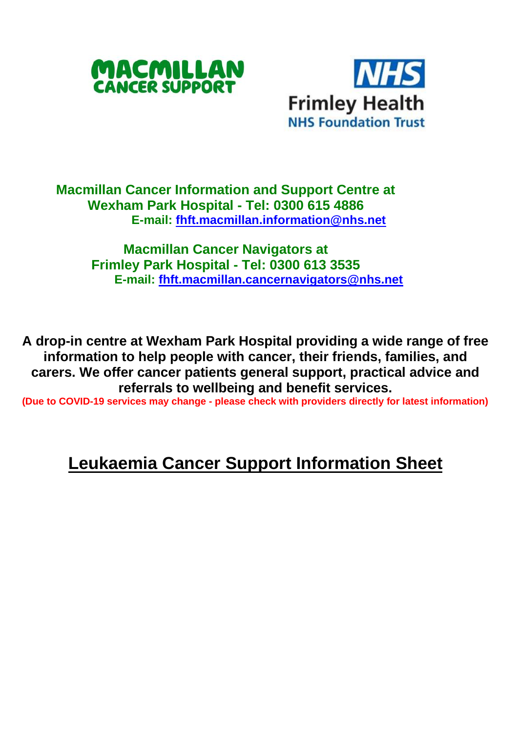



## **Macmillan Cancer Information and Support Centre at Wexham Park Hospital - Tel: 0300 615 4886 E-mail: [fhft.macmillan.information@nhs.net](mailto:fhft.macmillan.information@nhs.net)**

**Macmillan Cancer Navigators at Frimley Park Hospital - Tel: 0300 613 3535 E-mail: [fhft.macmillan.cancernavigators@nhs.net](mailto:fhft.macmillan.cancernavigators@nhs.net)**

**A drop-in centre at Wexham Park Hospital providing a wide range of free information to help people with cancer, their friends, families, and carers. We offer cancer patients general support, practical advice and referrals to wellbeing and benefit services.**

**(Due to COVID-19 services may change - please check with providers directly for latest information)** 

## **Leukaemia Cancer Support Information Sheet**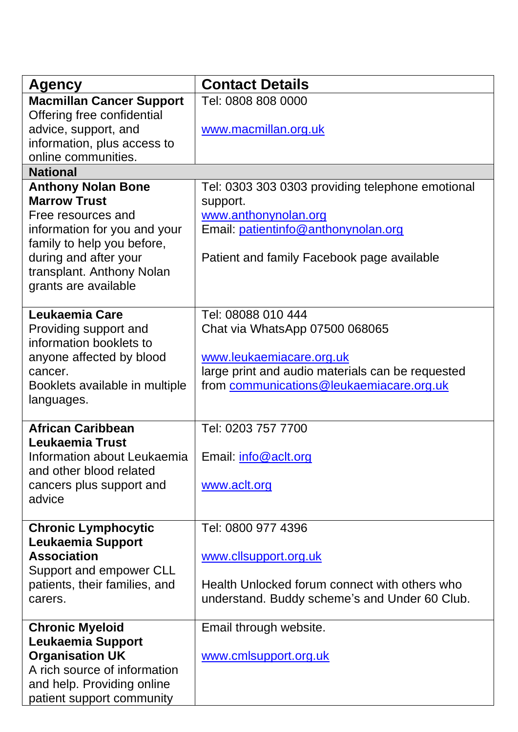|                                 | <b>Contact Details</b>                           |  |
|---------------------------------|--------------------------------------------------|--|
| Agency                          |                                                  |  |
| <b>Macmillan Cancer Support</b> | Tel: 0808 808 0000                               |  |
| Offering free confidential      |                                                  |  |
| advice, support, and            | www.macmillan.org.uk                             |  |
| information, plus access to     |                                                  |  |
| online communities.             |                                                  |  |
| <b>National</b>                 |                                                  |  |
| <b>Anthony Nolan Bone</b>       | Tel: 0303 303 0303 providing telephone emotional |  |
| <b>Marrow Trust</b>             | support.                                         |  |
| Free resources and              | www.anthonynolan.org                             |  |
| information for you and your    | Email: patientinfo@anthonynolan.org              |  |
| family to help you before,      |                                                  |  |
| during and after your           | Patient and family Facebook page available       |  |
| transplant. Anthony Nolan       |                                                  |  |
| grants are available            |                                                  |  |
|                                 |                                                  |  |
| Leukaemia Care                  | Tel: 08088 010 444                               |  |
| Providing support and           | Chat via WhatsApp 07500 068065                   |  |
| information booklets to         |                                                  |  |
| anyone affected by blood        | www.leukaemiacare.org.uk                         |  |
| cancer.                         | large print and audio materials can be requested |  |
| Booklets available in multiple  | from communications@leukaemiacare.org.uk         |  |
| languages.                      |                                                  |  |
|                                 |                                                  |  |
| <b>African Caribbean</b>        | Tel: 0203 757 7700                               |  |
| Leukaemia Trust                 |                                                  |  |
| Information about Leukaemia     | Email: info@aclt.org                             |  |
| and other blood related         |                                                  |  |
| cancers plus support and        | www.aclt.org                                     |  |
| advice                          |                                                  |  |
|                                 |                                                  |  |
| <b>Chronic Lymphocytic</b>      | Tel: 0800 977 4396                               |  |
| Leukaemia Support               |                                                  |  |
| <b>Association</b>              | www.cllsupport.org.uk                            |  |
| Support and empower CLL         |                                                  |  |
| patients, their families, and   | Health Unlocked forum connect with others who    |  |
| carers.                         | understand. Buddy scheme's and Under 60 Club.    |  |
|                                 |                                                  |  |
| <b>Chronic Myeloid</b>          | Email through website.                           |  |
| Leukaemia Support               |                                                  |  |
| <b>Organisation UK</b>          | www.cmlsupport.org.uk                            |  |
| A rich source of information    |                                                  |  |
| and help. Providing online      |                                                  |  |
| patient support community       |                                                  |  |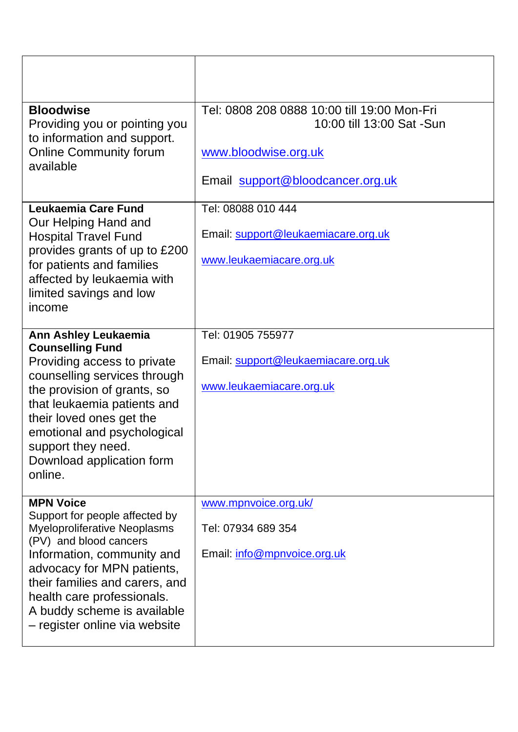| <b>Bloodwise</b><br>Providing you or pointing you<br>to information and support.<br><b>Online Community forum</b><br>available | Tel: 0808 208 0888 10:00 till 19:00 Mon-Fri<br>10:00 till 13:00 Sat -Sun |  |
|--------------------------------------------------------------------------------------------------------------------------------|--------------------------------------------------------------------------|--|
|                                                                                                                                | www.bloodwise.org.uk                                                     |  |
|                                                                                                                                | Email support@bloodcancer.org.uk                                         |  |
| Leukaemia Care Fund<br>Our Helping Hand and                                                                                    | Tel: 08088 010 444                                                       |  |
| <b>Hospital Travel Fund</b><br>provides grants of up to £200                                                                   | Email: support@leukaemiacare.org.uk                                      |  |
| for patients and families<br>affected by leukaemia with                                                                        | www.leukaemiacare.org.uk                                                 |  |
| limited savings and low<br>income                                                                                              |                                                                          |  |
| Ann Ashley Leukaemia<br><b>Counselling Fund</b>                                                                                | Tel: 01905 755977                                                        |  |
| Providing access to private<br>counselling services through                                                                    | Email: support@leukaemiacare.org.uk                                      |  |
| the provision of grants, so<br>that leukaemia patients and                                                                     | www.leukaemiacare.org.uk                                                 |  |
| their loved ones get the<br>emotional and psychological                                                                        |                                                                          |  |
| support they need.<br>Download application form                                                                                |                                                                          |  |
| online.                                                                                                                        |                                                                          |  |
| <b>MPN Voice</b><br>Support for people affected by                                                                             | www.mpnvoice.org.uk/                                                     |  |
| Myeloproliferative Neoplasms<br>(PV) and blood cancers                                                                         | Tel: 07934 689 354                                                       |  |
| Information, community and<br>advocacy for MPN patients,                                                                       | Email: info@mpnvoice.org.uk                                              |  |
| their families and carers, and<br>health care professionals.                                                                   |                                                                          |  |
| A buddy scheme is available<br>- register online via website                                                                   |                                                                          |  |